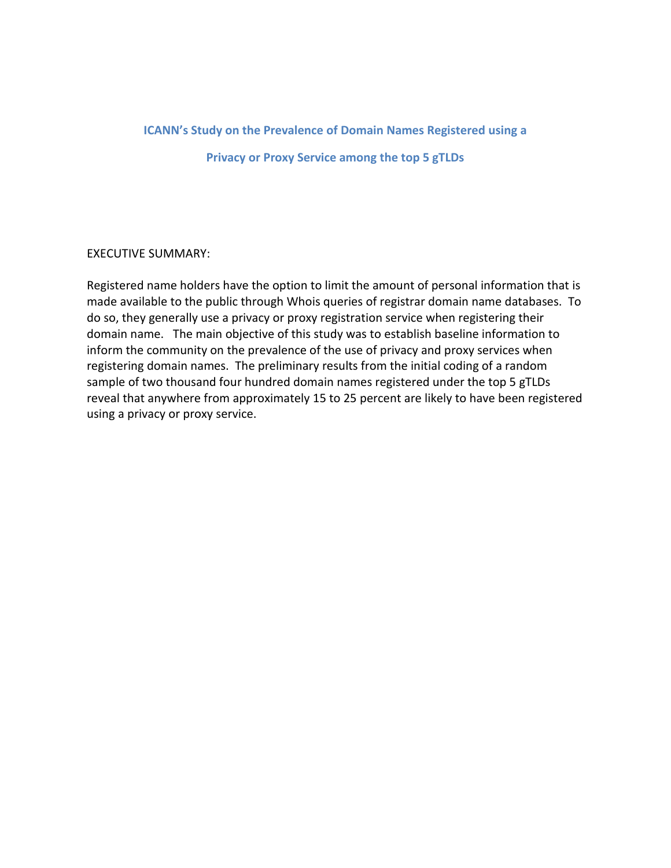# **ICANN's Study on the Prevalence of Domain Names Registered using a Privacy or Proxy Service among the top 5 gTLDs**

## EXECUTIVE SUMMARY:

Registered name holders have the option to limit the amount of personal information that is made available to the public through Whois queries of registrar domain name databases. To do so, they generally use a privacy or proxy registration service when registering their domain name. The main objective of this study was to establish baseline information to inform the community on the prevalence of the use of privacy and proxy services when registering domain names. The preliminary results from the initial coding of a random sample of two thousand four hundred domain names registered under the top 5 gTLDs reveal that anywhere from approximately 15 to 25 percent are likely to have been registered using a privacy or proxy service.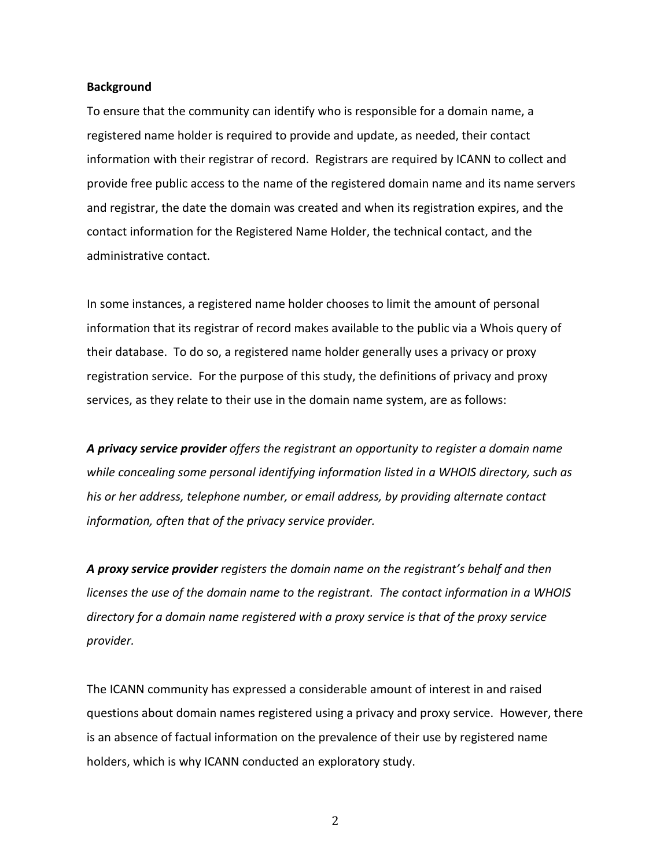#### **Background**

To ensure that the community can identify who is responsible for a domain name, a registered name holder is required to provide and update, as needed, their contact information with their registrar of record. Registrars are required by ICANN to collect and provide free public access to the name of the registered domain name and its name servers and registrar, the date the domain was created and when its registration expires, and the contact information for the Registered Name Holder, the technical contact, and the administrative contact.

In some instances, a registered name holder chooses to limit the amount of personal information that its registrar of record makes available to the public via a Whois query of their database. To do so, a registered name holder generally uses a privacy or proxy registration service. For the purpose of this study, the definitions of privacy and proxy services, as they relate to their use in the domain name system, are as follows:

*A privacy service provider offers the registrant an opportunity to register a domain name while concealing some personal identifying information listed in a WHOIS directory, such as his or her address, telephone number, or email address, by providing alternate contact information, often that of the privacy service provider.* 

*A proxy service provider registers the domain name on the registrant's behalf and then licenses the use of the domain name to the registrant. The contact information in a WHOIS directory for a domain name registered with a proxy service is that of the proxy service provider.*

The ICANN community has expressed a considerable amount of interest in and raised questions about domain names registered using a privacy and proxy service. However, there is an absence of factual information on the prevalence of their use by registered name holders, which is why ICANN conducted an exploratory study.

2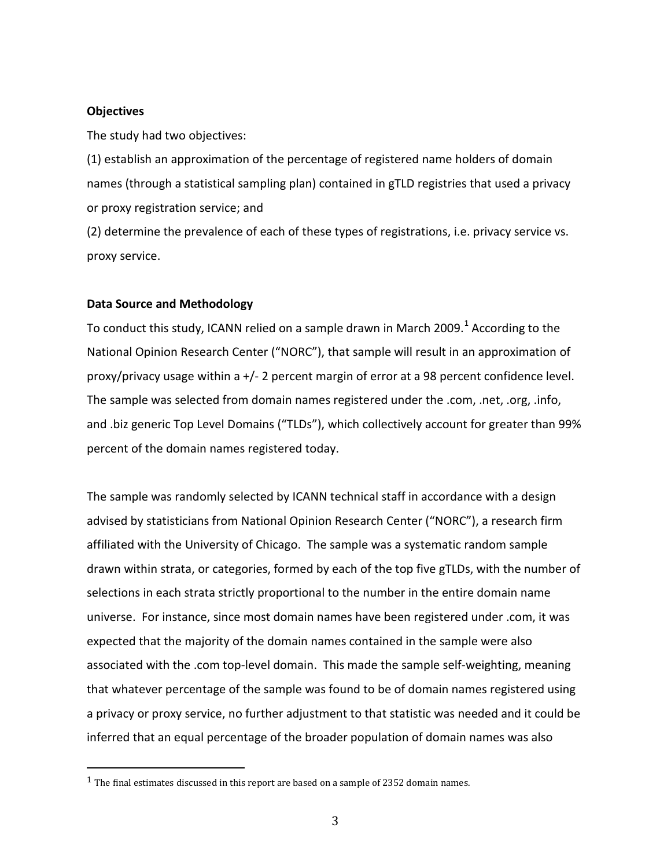## **Objectives**

The study had two objectives:

(1) establish an approximation of the percentage of registered name holders of domain names (through a statistical sampling plan) contained in gTLD registries that used a privacy or proxy registration service; and

(2) determine the prevalence of each of these types of registrations, i.e. privacy service vs. proxy service.

## **Data Source and Methodology**

To conduct this study, ICANN relied on a sample drawn in March 2009.<sup>[1](#page-2-0)</sup> According to the National Opinion Research Center ("NORC"), that sample will result in an approximation of proxy/privacy usage within a +/- 2 percent margin of error at a 98 percent confidence level. The sample was selected from domain names registered under the .com, .net, .org, .info, and .biz generic Top Level Domains ("TLDs"), which collectively account for greater than 99% percent of the domain names registered today.

The sample was randomly selected by ICANN technical staff in accordance with a design advised by statisticians from National Opinion Research Center ("NORC"), a research firm affiliated with the University of Chicago. The sample was a systematic random sample drawn within strata, or categories, formed by each of the top five gTLDs, with the number of selections in each strata strictly proportional to the number in the entire domain name universe. For instance, since most domain names have been registered under .com, it was expected that the majority of the domain names contained in the sample were also associated with the .com top-level domain. This made the sample self-weighting, meaning that whatever percentage of the sample was found to be of domain names registered using a privacy or proxy service, no further adjustment to that statistic was needed and it could be inferred that an equal percentage of the broader population of domain names was also

<span id="page-2-0"></span> $1$  The final estimates discussed in this report are based on a sample of 2352 domain names.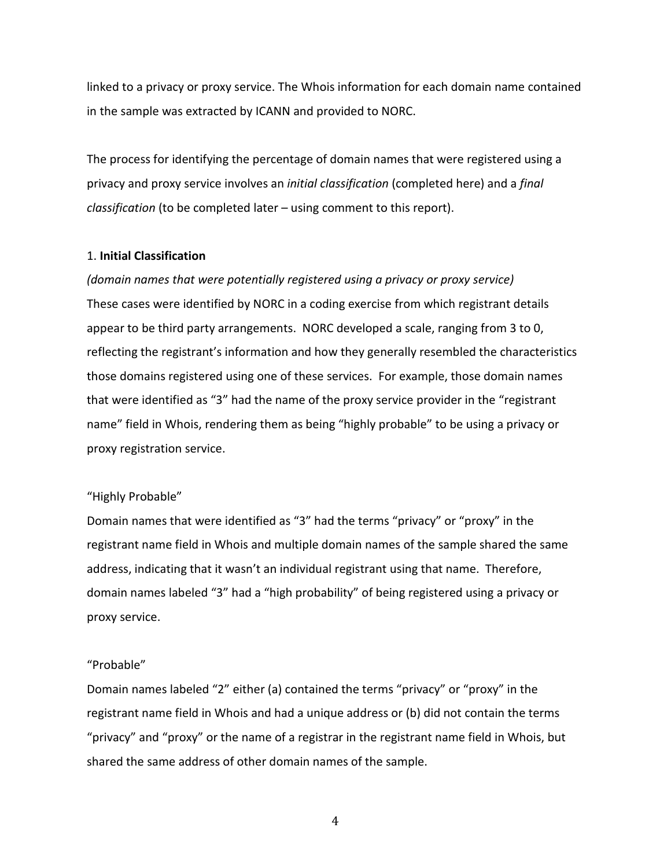linked to a privacy or proxy service. The Whois information for each domain name contained in the sample was extracted by ICANN and provided to NORC.

The process for identifying the percentage of domain names that were registered using a privacy and proxy service involves an *initial classification* (completed here) and a *final classification* (to be completed later – using comment to this report).

## 1. **Initial Classification**

*(domain names that were potentially registered using a privacy or proxy service)* These cases were identified by NORC in a coding exercise from which registrant details appear to be third party arrangements. NORC developed a scale, ranging from 3 to 0, reflecting the registrant's information and how they generally resembled the characteristics those domains registered using one of these services. For example, those domain names that were identified as "3" had the name of the proxy service provider in the "registrant name" field in Whois, rendering them as being "highly probable" to be using a privacy or proxy registration service.

## "Highly Probable"

Domain names that were identified as "3" had the terms "privacy" or "proxy" in the registrant name field in Whois and multiple domain names of the sample shared the same address, indicating that it wasn't an individual registrant using that name. Therefore, domain names labeled "3" had a "high probability" of being registered using a privacy or proxy service.

### "Probable"

Domain names labeled "2" either (a) contained the terms "privacy" or "proxy" in the registrant name field in Whois and had a unique address or (b) did not contain the terms "privacy" and "proxy" or the name of a registrar in the registrant name field in Whois, but shared the same address of other domain names of the sample.

4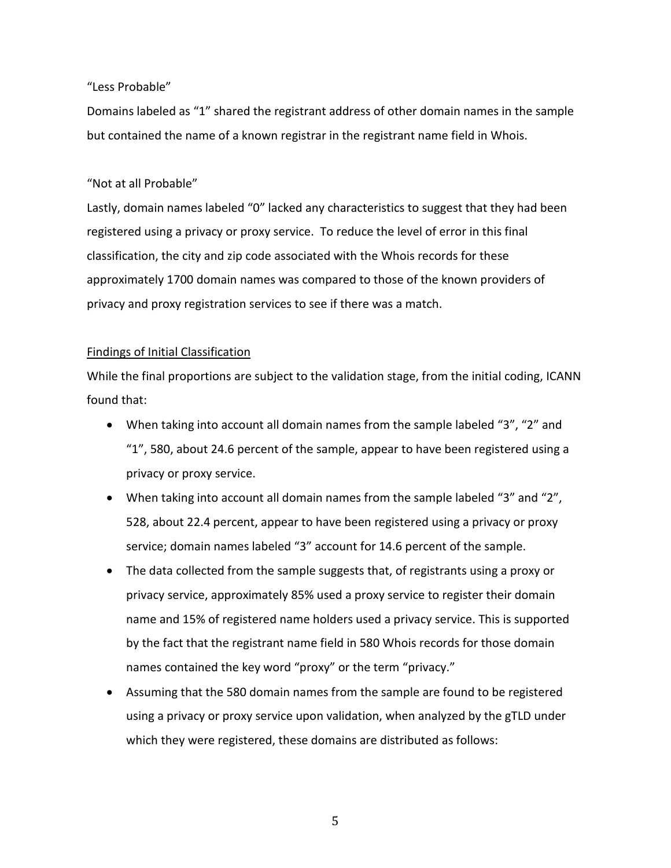## "Less Probable"

Domains labeled as "1" shared the registrant address of other domain names in the sample but contained the name of a known registrar in the registrant name field in Whois.

## "Not at all Probable"

Lastly, domain names labeled "0" lacked any characteristics to suggest that they had been registered using a privacy or proxy service. To reduce the level of error in this final classification, the city and zip code associated with the Whois records for these approximately 1700 domain names was compared to those of the known providers of privacy and proxy registration services to see if there was a match.

## Findings of Initial Classification

While the final proportions are subject to the validation stage, from the initial coding, ICANN found that:

- When taking into account all domain names from the sample labeled "3", "2" and "1", 580, about 24.6 percent of the sample, appear to have been registered using a privacy or proxy service.
- When taking into account all domain names from the sample labeled "3" and "2", 528, about 22.4 percent, appear to have been registered using a privacy or proxy service; domain names labeled "3" account for 14.6 percent of the sample.
- The data collected from the sample suggests that, of registrants using a proxy or privacy service, approximately 85% used a proxy service to register their domain name and 15% of registered name holders used a privacy service. This is supported by the fact that the registrant name field in 580 Whois records for those domain names contained the key word "proxy" or the term "privacy."
- Assuming that the 580 domain names from the sample are found to be registered using a privacy or proxy service upon validation, when analyzed by the gTLD under which they were registered, these domains are distributed as follows:

5